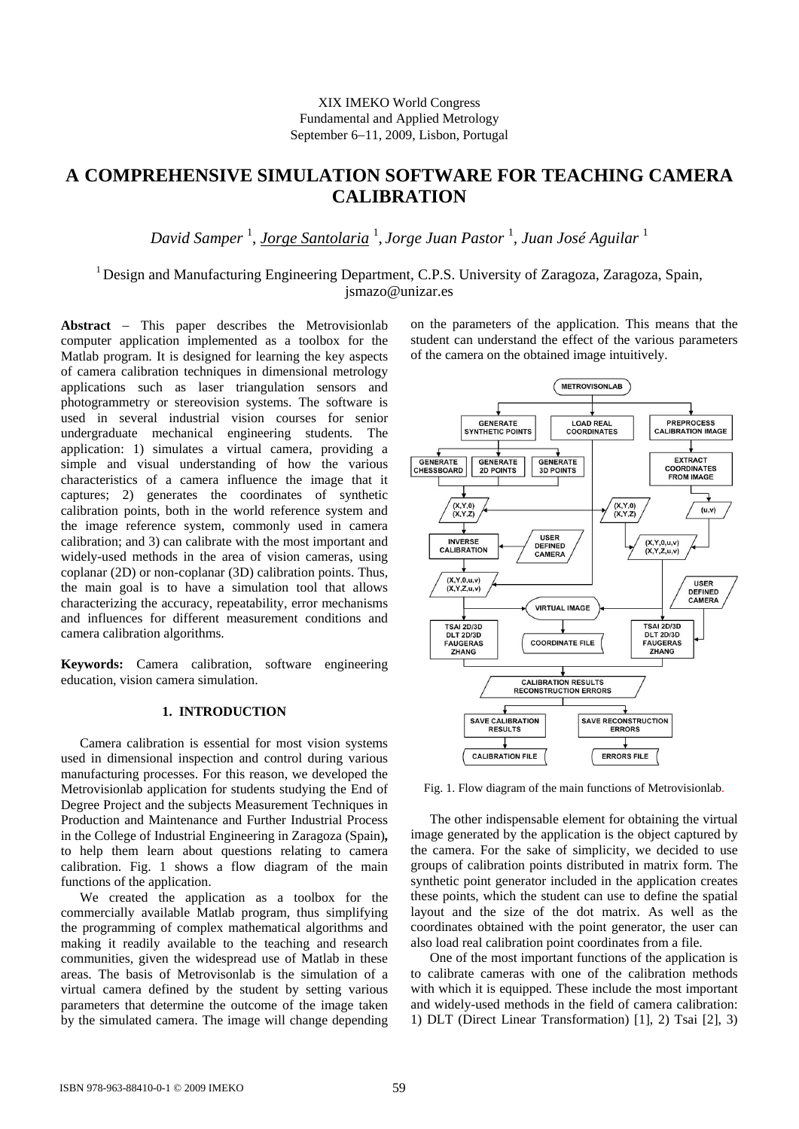# **A COMPREHENSIVE SIMULATION SOFTWARE FOR TEACHING CAMERA CALIBRATION**

*David Samper* <sup>1</sup> , *Jorge Santolaria* <sup>1</sup> , *Jorge Juan Pastor* <sup>1</sup> *, Juan José Aguilar* <sup>1</sup>

<sup>1</sup> Design and Manufacturing Engineering Department, C.P.S. University of Zaragoza, Zaragoza, Spain, jsmazo@unizar.es

Abstract – This paper describes the Metrovisionlab computer application implemented as a toolbox for the Matlab program. It is designed for learning the key aspects of camera calibration techniques in dimensional metrology applications such as laser triangulation sensors and photogrammetry or stereovision systems. The software is used in several industrial vision courses for senior undergraduate mechanical engineering students. The application: 1) simulates a virtual camera, providing a simple and visual understanding of how the various characteristics of a camera influence the image that it captures; 2) generates the coordinates of synthetic calibration points, both in the world reference system and the image reference system, commonly used in camera calibration; and 3) can calibrate with the most important and widely-used methods in the area of vision cameras, using coplanar (2D) or non-coplanar (3D) calibration points. Thus, the main goal is to have a simulation tool that allows characterizing the accuracy, repeatability, error mechanisms and influences for different measurement conditions and camera calibration algorithms.

**Keywords:** Camera calibration, software engineering education, vision camera simulation.

## **1. INTRODUCTION**

Camera calibration is essential for most vision systems used in dimensional inspection and control during various manufacturing processes. For this reason, we developed the Metrovisionlab application for students studying the End of Degree Project and the subjects Measurement Techniques in Production and Maintenance and Further Industrial Process in the College of Industrial Engineering in Zaragoza (Spain)**,**  to help them learn about questions relating to camera calibration. Fig. 1 shows a flow diagram of the main functions of the application.

We created the application as a toolbox for the commercially available Matlab program, thus simplifying the programming of complex mathematical algorithms and making it readily available to the teaching and research communities, given the widespread use of Matlab in these areas. The basis of Metrovisonlab is the simulation of a virtual camera defined by the student by setting various parameters that determine the outcome of the image taken by the simulated camera. The image will change depending

on the parameters of the application. This means that the student can understand the effect of the various parameters of the camera on the obtained image intuitively.



Fig. 1. Flow diagram of the main functions of Metrovisionlab.

The other indispensable element for obtaining the virtual image generated by the application is the object captured by the camera. For the sake of simplicity, we decided to use groups of calibration points distributed in matrix form. The synthetic point generator included in the application creates these points, which the student can use to define the spatial layout and the size of the dot matrix. As well as the coordinates obtained with the point generator, the user can also load real calibration point coordinates from a file.

One of the most important functions of the application is to calibrate cameras with one of the calibration methods with which it is equipped. These include the most important and widely-used methods in the field of camera calibration: 1) DLT (Direct Linear Transformation) [1], 2) Tsai [2], 3)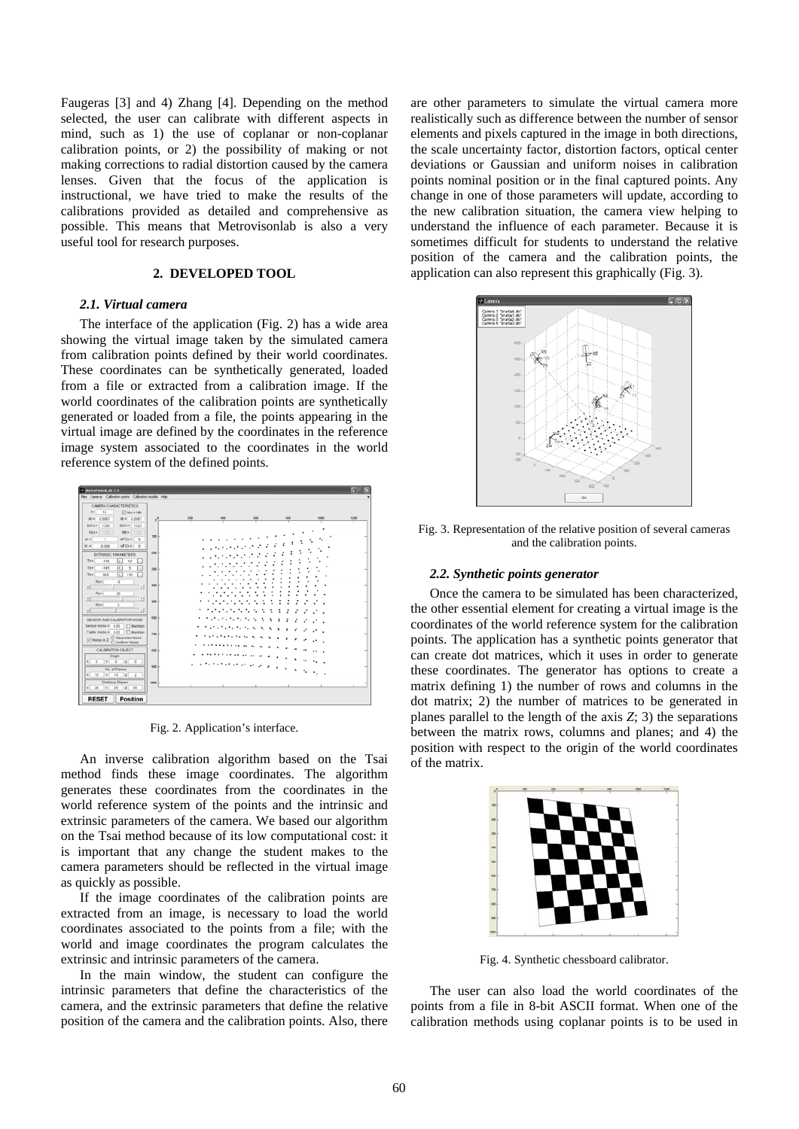Faugeras [3] and 4) Zhang [4]. Depending on the method selected, the user can calibrate with different aspects in mind, such as 1) the use of coplanar or non-coplanar calibration points, or 2) the possibility of making or not making corrections to radial distortion caused by the camera lenses. Given that the focus of the application is instructional, we have tried to make the results of the calibrations provided as detailed and comprehensive as possible. This means that Metrovisonlab is also a very useful tool for research purposes.

# **2. DEVELOPED TOOL**

### *2.1. Virtual camera*

The interface of the application (Fig. 2) has a wide area showing the virtual image taken by the simulated camera from calibration points defined by their world coordinates. These coordinates can be synthetically generated, loaded from a file or extracted from a calibration image. If the world coordinates of the calibration points are synthetically generated or loaded from a file, the points appearing in the virtual image are defined by the coordinates in the reference image system associated to the coordinates in the world reference system of the defined points.



Fig. 2. Application's interface.

An inverse calibration algorithm based on the Tsai method finds these image coordinates. The algorithm generates these coordinates from the coordinates in the world reference system of the points and the intrinsic and extrinsic parameters of the camera. We based our algorithm on the Tsai method because of its low computational cost: it is important that any change the student makes to the camera parameters should be reflected in the virtual image as quickly as possible.

If the image coordinates of the calibration points are extracted from an image, is necessary to load the world coordinates associated to the points from a file; with the world and image coordinates the program calculates the extrinsic and intrinsic parameters of the camera.

In the main window, the student can configure the intrinsic parameters that define the characteristics of the camera, and the extrinsic parameters that define the relative position of the camera and the calibration points. Also, there are other parameters to simulate the virtual camera more realistically such as difference between the number of sensor elements and pixels captured in the image in both directions, the scale uncertainty factor, distortion factors, optical center deviations or Gaussian and uniform noises in calibration points nominal position or in the final captured points. Any change in one of those parameters will update, according to the new calibration situation, the camera view helping to understand the influence of each parameter. Because it is sometimes difficult for students to understand the relative position of the camera and the calibration points, the application can also represent this graphically (Fig. 3).



Fig. 3. Representation of the relative position of several cameras and the calibration points.

#### *2.2. Synthetic points generator*

Once the camera to be simulated has been characterized, the other essential element for creating a virtual image is the coordinates of the world reference system for the calibration points. The application has a synthetic points generator that can create dot matrices, which it uses in order to generate these coordinates. The generator has options to create a matrix defining 1) the number of rows and columns in the dot matrix; 2) the number of matrices to be generated in planes parallel to the length of the axis *Z*; 3) the separations between the matrix rows, columns and planes; and 4) the position with respect to the origin of the world coordinates of the matrix.



Fig. 4. Synthetic chessboard calibrator.

The user can also load the world coordinates of the points from a file in 8-bit ASCII format. When one of the calibration methods using coplanar points is to be used in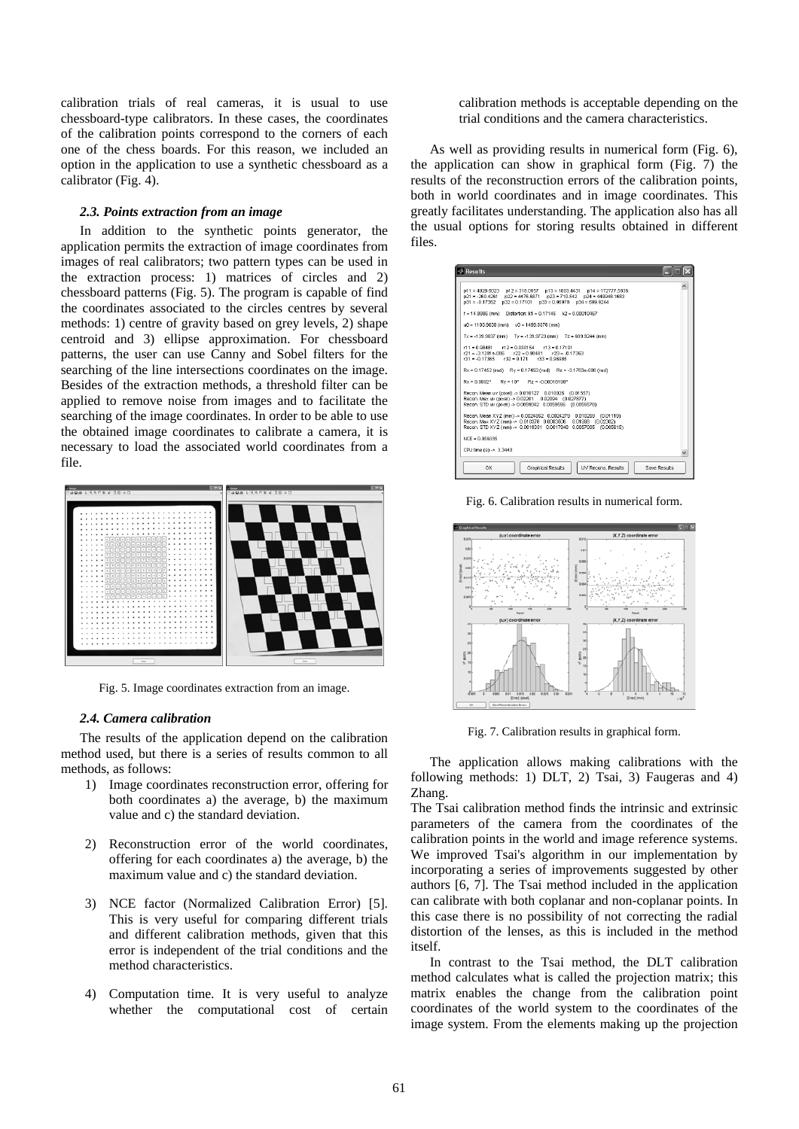calibration trials of real cameras, it is usual to use chessboard-type calibrators. In these cases, the coordinates of the calibration points correspond to the corners of each one of the chess boards. For this reason, we included an option in the application to use a synthetic chessboard as a calibrator (Fig. 4).

# *2.3. Points extraction from an image*

In addition to the synthetic points generator, the application permits the extraction of image coordinates from images of real calibrators; two pattern types can be used in the extraction process: 1) matrices of circles and 2) chessboard patterns (Fig. 5). The program is capable of find the coordinates associated to the circles centres by several methods: 1) centre of gravity based on grey levels, 2) shape centroid and 3) ellipse approximation. For chessboard patterns, the user can use Canny and Sobel filters for the searching of the line intersections coordinates on the image. Besides of the extraction methods, a threshold filter can be applied to remove noise from images and to facilitate the searching of the image coordinates. In order to be able to use the obtained image coordinates to calibrate a camera, it is necessary to load the associated world coordinates from a file.



Fig. 5. Image coordinates extraction from an image.

#### *2.4. Camera calibration*

The results of the application depend on the calibration method used, but there is a series of results common to all methods, as follows:

- 1) Image coordinates reconstruction error, offering for both coordinates a) the average, b) the maximum value and c) the standard deviation.
- 2) Reconstruction error of the world coordinates, offering for each coordinates a) the average, b) the maximum value and c) the standard deviation.
- 3) NCE factor (Normalized Calibration Error) [5]. This is very useful for comparing different trials and different calibration methods, given that this error is independent of the trial conditions and the method characteristics.
- 4) Computation time. It is very useful to analyze whether the computational cost of certain

calibration methods is acceptable depending on the trial conditions and the camera characteristics.

 As well as providing results in numerical form (Fig. 6), the application can show in graphical form (Fig. 7) the results of the reconstruction errors of the calibration points, both in world coordinates and in image coordinates. This greatly facilitates understanding. The application also has all the usual options for storing results obtained in different files.

| <b>Results</b>                                                                                                                                                                                                         |  |
|------------------------------------------------------------------------------------------------------------------------------------------------------------------------------------------------------------------------|--|
| $p11 = 4028.5023$ $p12 = 318.0157$ $p13 = 1803.4431$ $p14 = 172777.5836$<br>p21 = -260.4261   p22 = 4476.6871   p23 = 710.542   p24 = 449948.1683<br>$p31 = -0.17362$ $p32 = 0.17101$ $p33 = 0.96978$ $p34 = 699.9244$ |  |
| f = 14.9986 (mm) Distortion: k1 = 0.17146 k2 = 0.00010467                                                                                                                                                              |  |
| $u0 = 1103.9038$ (mm) $v0 = 1499.8378$ (mm)                                                                                                                                                                            |  |
| $Tx = -139.9837$ (mm) $Tv = -139.9723$ (mm) $Tz = 699.9244$ (mm)                                                                                                                                                       |  |
| $r11 = 0.98481$ $r12 = 0.030154$ $r13 = 0.17101$<br>$r21 = -3.1281e - 006$ $r22 = 0.98481$ $r23 = -0.17363$<br>$r31 = -0.17365$ $r32 = 0.171$ $r33 = 0.96985$                                                          |  |
| Rx = 0.17452 (rad) Rv = 0.17453 (rad) Rz = -3.1763e-006 (rad)                                                                                                                                                          |  |
| $Rx = 9.9992^{\circ}$ $Ry = 10^{\circ}$ $Rz = -0.00018199^{\circ}$                                                                                                                                                     |  |
| Recon. Mean uv (pixel) -> 0.010127 0.010026 (0.01557)<br>Recon, Max uv (pixel) -> 0.02201  0.02094  (0.027877)<br>Recon, STD uv (pixel) -> 0.0059042 0.0059556 (0.0055578)                                             |  |
| Recon. Mean XYZ (mm) -> 0.0024852 0.0024279 0.010259 (0.01119)<br>Recon, Max XYZ (mm) -> 0.010378 0.0083506 0.01998 (0.02302)<br>Recon, STD XYZ (mm) -> 0.0019331 0.0017948 0.0057005 (0.005615)                       |  |
| NCE = 0.056395                                                                                                                                                                                                         |  |
| CPU time (s) -> 3.3443                                                                                                                                                                                                 |  |
| <b>IIV Recops Results</b><br>OK<br>Graphical Results<br>Save Results                                                                                                                                                   |  |

Fig. 6. Calibration results in numerical form.



Fig. 7. Calibration results in graphical form.

 The application allows making calibrations with the following methods: 1) DLT, 2) Tsai, 3) Faugeras and 4) Zhang.

The Tsai calibration method finds the intrinsic and extrinsic parameters of the camera from the coordinates of the calibration points in the world and image reference systems. We improved Tsai's algorithm in our implementation by incorporating a series of improvements suggested by other authors [6, 7]. The Tsai method included in the application can calibrate with both coplanar and non-coplanar points. In this case there is no possibility of not correcting the radial distortion of the lenses, as this is included in the method itself.

 In contrast to the Tsai method, the DLT calibration method calculates what is called the projection matrix; this matrix enables the change from the calibration point coordinates of the world system to the coordinates of the image system. From the elements making up the projection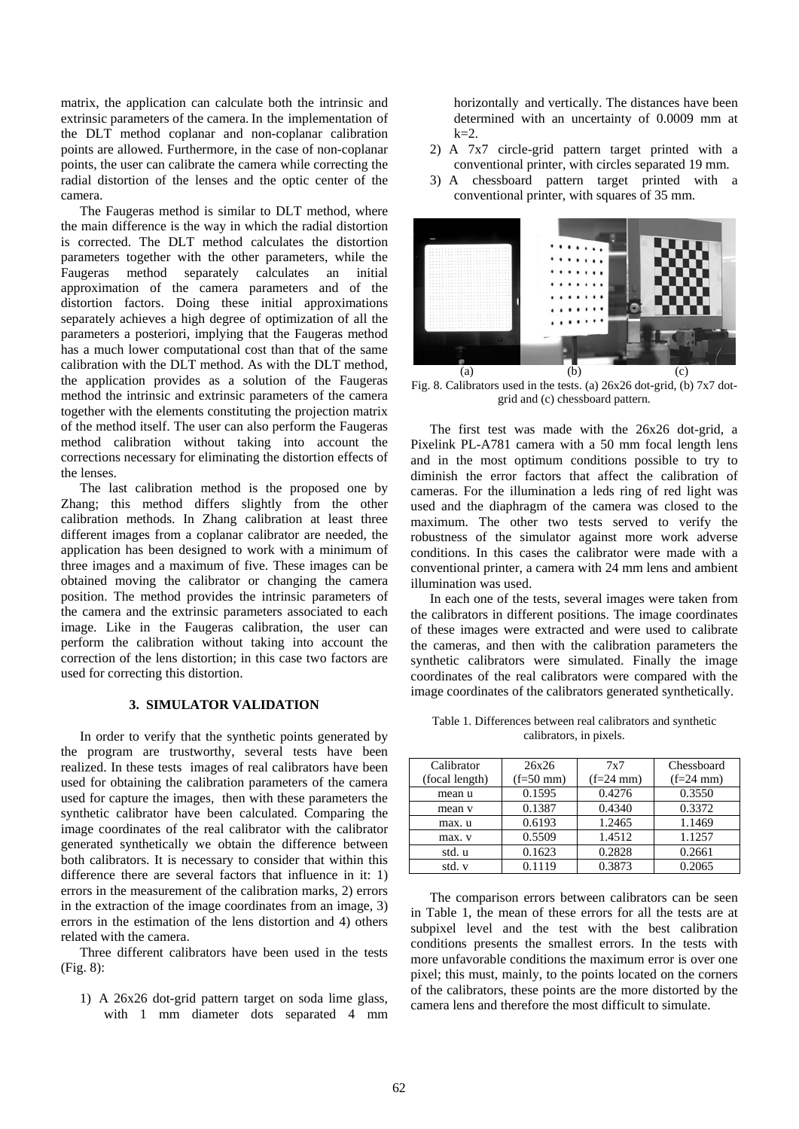matrix, the application can calculate both the intrinsic and extrinsic parameters of the camera. In the implementation of the DLT method coplanar and non-coplanar calibration points are allowed. Furthermore, in the case of non-coplanar points, the user can calibrate the camera while correcting the radial distortion of the lenses and the optic center of the camera.

 The Faugeras method is similar to DLT method, where the main difference is the way in which the radial distortion is corrected. The DLT method calculates the distortion parameters together with the other parameters, while the Faugeras method separately calculates an initial approximation of the camera parameters and of the distortion factors. Doing these initial approximations separately achieves a high degree of optimization of all the parameters a posteriori, implying that the Faugeras method has a much lower computational cost than that of the same calibration with the DLT method. As with the DLT method, the application provides as a solution of the Faugeras method the intrinsic and extrinsic parameters of the camera together with the elements constituting the projection matrix of the method itself. The user can also perform the Faugeras method calibration without taking into account the corrections necessary for eliminating the distortion effects of the lenses.

 The last calibration method is the proposed one by Zhang; this method differs slightly from the other calibration methods. In Zhang calibration at least three different images from a coplanar calibrator are needed, the application has been designed to work with a minimum of three images and a maximum of five. These images can be obtained moving the calibrator or changing the camera position. The method provides the intrinsic parameters of the camera and the extrinsic parameters associated to each image. Like in the Faugeras calibration, the user can perform the calibration without taking into account the correction of the lens distortion; in this case two factors are used for correcting this distortion.

## **3. SIMULATOR VALIDATION**

In order to verify that the synthetic points generated by the program are trustworthy, several tests have been realized. In these tests images of real calibrators have been used for obtaining the calibration parameters of the camera used for capture the images, then with these parameters the synthetic calibrator have been calculated. Comparing the image coordinates of the real calibrator with the calibrator generated synthetically we obtain the difference between both calibrators. It is necessary to consider that within this difference there are several factors that influence in it: 1) errors in the measurement of the calibration marks, 2) errors in the extraction of the image coordinates from an image, 3) errors in the estimation of the lens distortion and 4) others related with the camera.

Three different calibrators have been used in the tests (Fig. 8):

1) A 26x26 dot-grid pattern target on soda lime glass, with 1 mm diameter dots separated 4 mm horizontally and vertically. The distances have been determined with an uncertainty of 0.0009 mm at  $k=2$ .

- 2) A 7x7 circle-grid pattern target printed with a conventional printer, with circles separated 19 mm.
- 3) A chessboard pattern target printed with a conventional printer, with squares of 35 mm.



Fig. 8. Calibrators used in the tests. (a) 26x26 dot-grid, (b) 7x7 dotgrid and (c) chessboard pattern.

 The first test was made with the 26x26 dot-grid, a Pixelink PL-A781 camera with a 50 mm focal length lens and in the most optimum conditions possible to try to diminish the error factors that affect the calibration of cameras. For the illumination a leds ring of red light was used and the diaphragm of the camera was closed to the maximum. The other two tests served to verify the robustness of the simulator against more work adverse conditions. In this cases the calibrator were made with a conventional printer, a camera with 24 mm lens and ambient illumination was used.

 In each one of the tests, several images were taken from the calibrators in different positions. The image coordinates of these images were extracted and were used to calibrate the cameras, and then with the calibration parameters the synthetic calibrators were simulated. Finally the image coordinates of the real calibrators were compared with the image coordinates of the calibrators generated synthetically.

Table 1. Differences between real calibrators and synthetic calibrators, in pixels.

| Calibrator     | 26x26       | 7x7         | Chessboard  |
|----------------|-------------|-------------|-------------|
| (focal length) | $(f=50$ mm) | $(f=24$ mm) | $(f=24$ mm) |
| mean u         | 0.1595      | 0.4276      | 0.3550      |
| mean v         | 0.1387      | 0.4340      | 0.3372      |
| max. u         | 0.6193      | 1.2465      | 1.1469      |
| max. v         | 0.5509      | 1.4512      | 1.1257      |
| std. u         | 0.1623      | 0.2828      | 0.2661      |
| std. v         | 0.1119      | 0.3873      | 0.2065      |

 The comparison errors between calibrators can be seen in Table 1, the mean of these errors for all the tests are at subpixel level and the test with the best calibration conditions presents the smallest errors. In the tests with more unfavorable conditions the maximum error is over one pixel; this must, mainly, to the points located on the corners of the calibrators, these points are the more distorted by the camera lens and therefore the most difficult to simulate.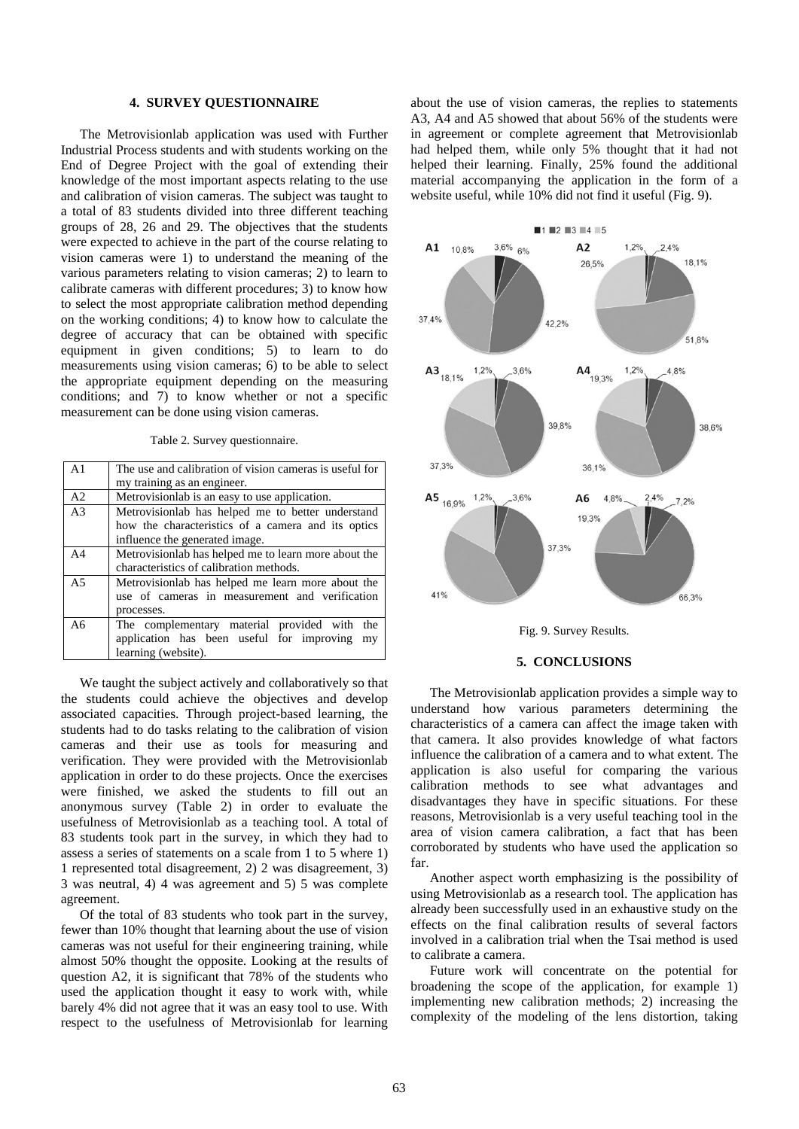#### **4. SURVEY QUESTIONNAIRE**

The Metrovisionlab application was used with Further Industrial Process students and with students working on the End of Degree Project with the goal of extending their knowledge of the most important aspects relating to the use and calibration of vision cameras. The subject was taught to a total of 83 students divided into three different teaching groups of 28, 26 and 29. The objectives that the students were expected to achieve in the part of the course relating to vision cameras were 1) to understand the meaning of the various parameters relating to vision cameras; 2) to learn to calibrate cameras with different procedures; 3) to know how to select the most appropriate calibration method depending on the working conditions; 4) to know how to calculate the degree of accuracy that can be obtained with specific equipment in given conditions; 5) to learn to do measurements using vision cameras; 6) to be able to select the appropriate equipment depending on the measuring conditions; and 7) to know whether or not a specific measurement can be done using vision cameras.

Table 2. Survey questionnaire.

| A <sub>1</sub> | The use and calibration of vision cameras is useful for |
|----------------|---------------------------------------------------------|
|                | my training as an engineer.                             |
| A <sub>2</sub> | Metrovisionlab is an easy to use application.           |
| A <sub>3</sub> | Metrovisionlab has helped me to better understand       |
|                | how the characteristics of a camera and its optics      |
|                | influence the generated image.                          |
| A <sub>4</sub> | Metrovisionlab has helped me to learn more about the    |
|                | characteristics of calibration methods.                 |
| A <sub>5</sub> | Metrovisionlab has helped me learn more about the       |
|                | use of cameras in measurement and verification          |
|                | processes.                                              |
| A6             | The complementary material provided with the            |
|                | application has been useful for improving<br>my         |
|                | learning (website).                                     |

We taught the subject actively and collaboratively so that the students could achieve the objectives and develop associated capacities. Through project-based learning, the students had to do tasks relating to the calibration of vision cameras and their use as tools for measuring and verification. They were provided with the Metrovisionlab application in order to do these projects. Once the exercises were finished, we asked the students to fill out an anonymous survey (Table 2) in order to evaluate the usefulness of Metrovisionlab as a teaching tool. A total of 83 students took part in the survey, in which they had to assess a series of statements on a scale from 1 to 5 where 1) 1 represented total disagreement, 2) 2 was disagreement, 3) 3 was neutral, 4) 4 was agreement and 5) 5 was complete agreement.

Of the total of 83 students who took part in the survey, fewer than 10% thought that learning about the use of vision cameras was not useful for their engineering training, while almost 50% thought the opposite. Looking at the results of question A2, it is significant that 78% of the students who used the application thought it easy to work with, while barely 4% did not agree that it was an easy tool to use. With respect to the usefulness of Metrovisionlab for learning

about the use of vision cameras, the replies to statements A3, A4 and A5 showed that about 56% of the students were in agreement or complete agreement that Metrovisionlab had helped them, while only 5% thought that it had not helped their learning. Finally, 25% found the additional material accompanying the application in the form of a website useful, while 10% did not find it useful (Fig. 9).



![](_page_4_Figure_8.jpeg)

#### **5. CONCLUSIONS**

The Metrovisionlab application provides a simple way to understand how various parameters determining the characteristics of a camera can affect the image taken with that camera. It also provides knowledge of what factors influence the calibration of a camera and to what extent. The application is also useful for comparing the various calibration methods to see what advantages and disadvantages they have in specific situations. For these reasons, Metrovisionlab is a very useful teaching tool in the area of vision camera calibration, a fact that has been corroborated by students who have used the application so far.

Another aspect worth emphasizing is the possibility of using Metrovisionlab as a research tool. The application has already been successfully used in an exhaustive study on the effects on the final calibration results of several factors involved in a calibration trial when the Tsai method is used to calibrate a camera.

Future work will concentrate on the potential for broadening the scope of the application, for example 1) implementing new calibration methods; 2) increasing the complexity of the modeling of the lens distortion, taking